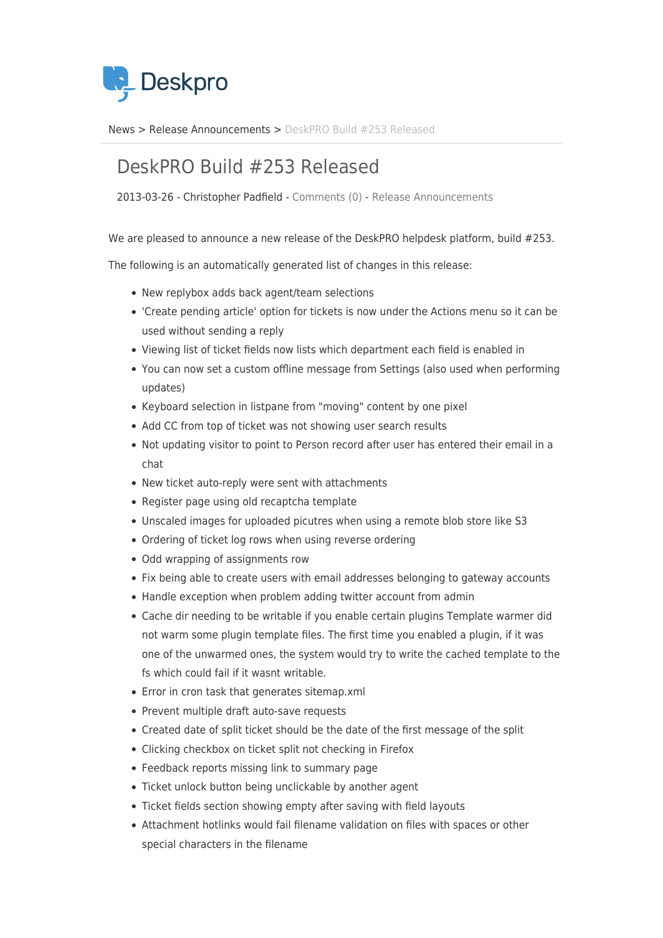

[News](https://support.deskpro.com/da/news) > [Release Announcements](https://support.deskpro.com/da/news/release-announcements) > [DeskPRO Build #253 Released](https://support.deskpro.com/da/news/posts/deskpro-build-253-released)

## DeskPRO Build #253 Released

2013-03-26 - Christopher Padfield - [Comments \(0\)](#page--1-0) - [Release Announcements](https://support.deskpro.com/da/news/release-announcements)

We are pleased to announce a new release of the DeskPRO helpdesk platform, build #253.

The following is an automatically generated list of changes in this release:

- New replybox adds back agent/team selections
- 'Create pending article' option for tickets is now under the Actions menu so it can be used without sending a reply
- Viewing list of ticket fields now lists which department each field is enabled in
- You can now set a custom offline message from Settings (also used when performing updates)
- Keyboard selection in listpane from "moving" content by one pixel
- Add CC from top of ticket was not showing user search results
- Not updating visitor to point to Person record after user has entered their email in a chat
- New ticket auto-reply were sent with attachments
- Register page using old recaptcha template
- Unscaled images for uploaded picutres when using a remote blob store like S3
- Ordering of ticket log rows when using reverse ordering
- Odd wrapping of assignments row
- Fix being able to create users with email addresses belonging to gateway accounts
- Handle exception when problem adding twitter account from admin
- Cache dir needing to be writable if you enable certain plugins Template warmer did not warm some plugin template files. The first time you enabled a plugin, if it was one of the unwarmed ones, the system would try to write the cached template to the fs which could fail if it wasnt writable.
- Error in cron task that generates sitemap.xml
- Prevent multiple draft auto-save requests
- Created date of split ticket should be the date of the first message of the split
- Clicking checkbox on ticket split not checking in Firefox
- Feedback reports missing link to summary page
- Ticket unlock button being unclickable by another agent
- Ticket fields section showing empty after saving with field layouts
- Attachment hotlinks would fail filename validation on files with spaces or other special characters in the filename